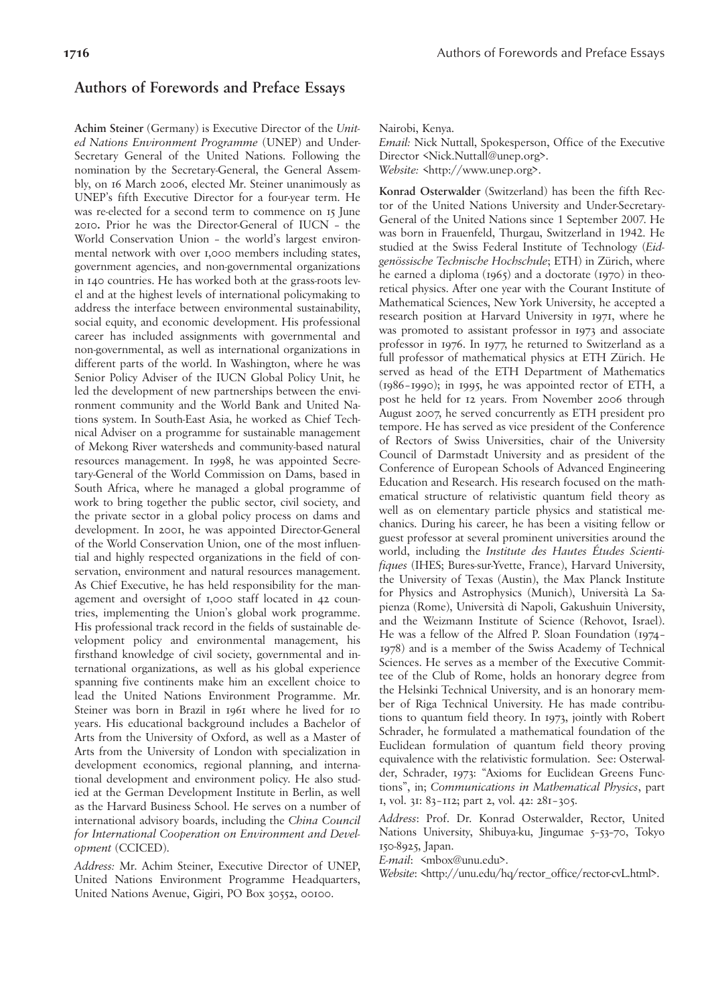## **Authors of Forewords and Preface Essays**

**Achim Steiner** (Germany) is Executive Director of the *United Nations Environment Programme* (UNEP) and Under-Secretary General of the United Nations. Following the nomination by the Secretary-General, the General Assembly, on 16 March 2006, elected Mr. Steiner unanimously as UNEP's fifth Executive Director for a four-year term. He was re-elected for a second term to commence on 15 June 2010**.** Prior he was the Director-General of IUCN – the World Conservation Union – the world's largest environmental network with over 1,000 members including states, government agencies, and non-governmental organizations in 140 countries. He has worked both at the grass-roots level and at the highest levels of international policymaking to address the interface between environmental sustainability, social equity, and economic development. His professional career has included assignments with governmental and non-governmental, as well as international organizations in different parts of the world. In Washington, where he was Senior Policy Adviser of the IUCN Global Policy Unit, he led the development of new partnerships between the environment community and the World Bank and United Nations system. In South-East Asia, he worked as Chief Technical Adviser on a programme for sustainable management of Mekong River watersheds and community-based natural resources management. In 1998, he was appointed Secretary-General of the World Commission on Dams, based in South Africa, where he managed a global programme of work to bring together the public sector, civil society, and the private sector in a global policy process on dams and development. In 2001, he was appointed Director-General of the World Conservation Union, one of the most influential and highly respected organizations in the field of conservation, environment and natural resources management. As Chief Executive, he has held responsibility for the management and oversight of 1,000 staff located in 42 countries, implementing the Union's global work programme. His professional track record in the fields of sustainable development policy and environmental management, his firsthand knowledge of civil society, governmental and international organizations, as well as his global experience spanning five continents make him an excellent choice to lead the United Nations Environment Programme. Mr. Steiner was born in Brazil in 1961 where he lived for 10 years. His educational background includes a Bachelor of Arts from the University of Oxford, as well as a Master of Arts from the University of London with specialization in development economics, regional planning, and international development and environment policy. He also studied at the German Development Institute in Berlin, as well as the Harvard Business School. He serves on a number of international advisory boards, including the *China Council for International Cooperation on Environment and Development* (CCICED).

*Address:* Mr. Achim Steiner, Executive Director of UNEP, United Nations Environment Programme Headquarters, United Nations Avenue, Gigiri, PO Box 30552, 00100.

Nairobi, Kenya.

*Email:* Nick Nuttall, Spokesperson, Office of the Executive Director <Nick.Nuttall@unep.org>. *Website:* <http://www.unep.org>.

**Konrad Osterwalder** (Switzerland) has been the fifth Rector of the United Nations University and Under-Secretary-General of the United Nations since 1 September 2007. He was born in Frauenfeld, Thurgau, Switzerland in 1942. He studied at the Swiss Federal Institute of Technology (*Eidgenössische Technische Hochschule*; ETH) in Zürich, where he earned a diploma (1965) and a doctorate (1970) in theoretical physics. After one year with the Courant Institute of Mathematical Sciences, New York University, he accepted a research position at Harvard University in 1971, where he was promoted to assistant professor in 1973 and associate professor in 1976. In 1977, he returned to Switzerland as a full professor of mathematical physics at ETH Zürich. He served as head of the ETH Department of Mathematics (1986–1990); in 1995, he was appointed rector of ETH, a post he held for 12 years. From November 2006 through August 2007, he served concurrently as ETH president pro tempore. He has served as vice president of the Conference of Rectors of Swiss Universities, chair of the University Council of Darmstadt University and as president of the Conference of European Schools of Advanced Engineering Education and Research. His research focused on the mathematical structure of relativistic quantum field theory as well as on elementary particle physics and statistical mechanics. During his career, he has been a visiting fellow or guest professor at several prominent universities around the world, including the *Institute des Hautes Études Scientifiques* (IHES; Bures-sur-Yvette, France), Harvard University, the University of Texas (Austin), the Max Planck Institute for Physics and Astrophysics (Munich), Università La Sapienza (Rome), Università di Napoli, Gakushuin University, and the Weizmann Institute of Science (Rehovot, Israel). He was a fellow of the Alfred P. Sloan Foundation (1974– 1978) and is a member of the Swiss Academy of Technical Sciences. He serves as a member of the Executive Committee of the Club of Rome, holds an honorary degree from the Helsinki Technical University, and is an honorary member of Riga Technical University. He has made contributions to quantum field theory. In 1973, jointly with Robert Schrader, he formulated a mathematical foundation of the Euclidean formulation of quantum field theory proving equivalence with the relativistic formulation. See: Osterwalder, Schrader, 1973: "Axioms for Euclidean Greens Functions", in; *Communications in Mathematical Physics*, part 1, vol. 31: 83–112; part 2, vol. 42: 281–305.

*Address*: Prof. Dr. Konrad Osterwalder, Rector, United Nations University, Shibuya-ku, Jingumae 5–53–70, Tokyo 150-8925, Japan.

*E-mail*: <mbox@unu.edu>.

*Website*: <http://unu.edu/hq/rector\_office/rector-cvL.html>.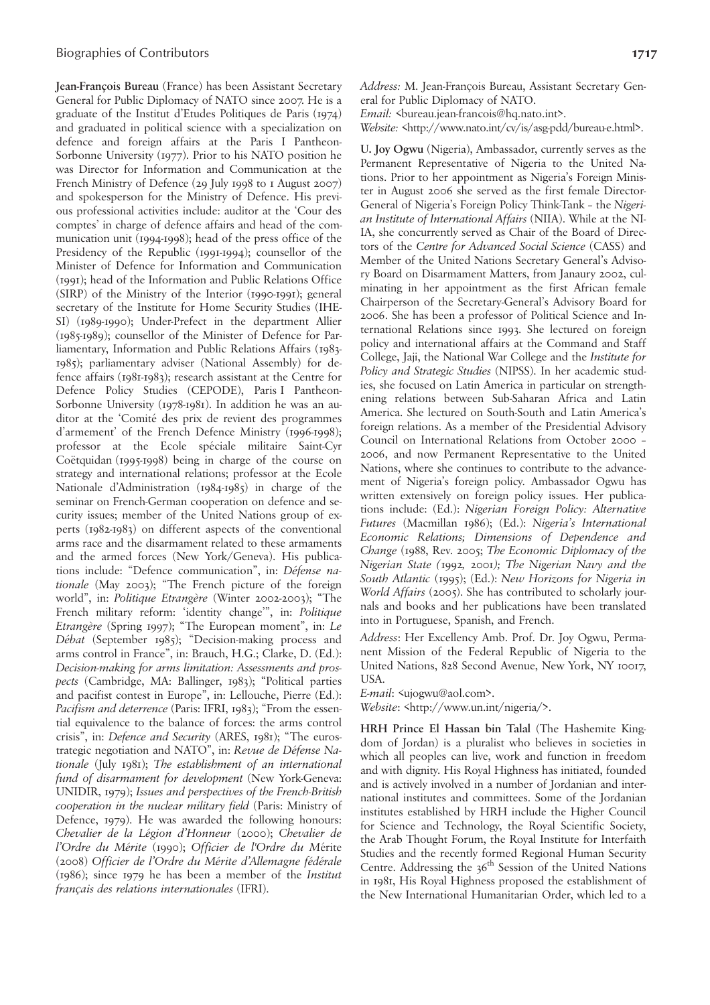**Jean-François Bureau** (France) has been Assistant Secretary General for Public Diplomacy of NATO since 2007. He is a graduate of the Institut d'Etudes Politiques de Paris (1974) and graduated in political science with a specialization on defence and foreign affairs at the Paris I Pantheon-Sorbonne University (1977). Prior to his NATO position he was Director for Information and Communication at the French Ministry of Defence (29 July 1998 to 1 August 2007) and spokesperson for the Ministry of Defence. His previous professional activities include: auditor at the 'Cour des comptes' in charge of defence affairs and head of the communication unit (1994-1998); head of the press office of the Presidency of the Republic (1991-1994); counsellor of the Minister of Defence for Information and Communication (1991); head of the Information and Public Relations Office (SIRP) of the Ministry of the Interior (1990-1991); general secretary of the Institute for Home Security Studies (IHE-SI) (1989-1990); Under-Prefect in the department Allier (1985-1989); counsellor of the Minister of Defence for Parliamentary, Information and Public Relations Affairs (1983- 1985); parliamentary adviser (National Assembly) for defence affairs (1981-1983); research assistant at the Centre for Defence Policy Studies (CEPODE), Paris I Pantheon-Sorbonne University (1978-1981). In addition he was an auditor at the 'Comité des prix de revient des programmes d'armement' of the French Defence Ministry (1996-1998); professor at the Ecole spéciale militaire Saint-Cyr Coëtquidan (1995-1998) being in charge of the course on strategy and international relations; professor at the Ecole Nationale d'Administration (1984-1985) in charge of the seminar on French-German cooperation on defence and security issues; member of the United Nations group of experts (1982-1983) on different aspects of the conventional arms race and the disarmament related to these armaments and the armed forces (New York/Geneva). His publications include: "Defence communication", in: *Défense nationale* (May 2003); "The French picture of the foreign world", in: *Politique Etrangère* (Winter 2002-2003); "The French military reform: 'identity change'", in: *Politique Etrangère* (Spring 1997); "The European moment", in: *Le Débat* (September 1985); "Decision-making process and arms control in France", in: Brauch, H.G.; Clarke, D. (Ed.): *Decision-making for arms limitation: Assessments and prospects* (Cambridge, MA: Ballinger, 1983); "Political parties and pacifist contest in Europe", in: Lellouche, Pierre (Ed.): *Pacifism and deterrence* (Paris: IFRI, 1983); "From the essential equivalence to the balance of forces: the arms control crisis", in: *Defence and Security* (ARES, 1981); "The eurostrategic negotiation and NATO", in: *Revue de Défense Nationale* (July 1981); *The establishment of an international fund of disarmament for development* (New York-Geneva: UNIDIR, 1979); *Issues and perspectives of the French-British cooperation in the nuclear military field* (Paris: Ministry of Defence, 1979). He was awarded the following honours: *Chevalier de la Légion d'Honneur* (2000); *Chevalier de l'Ordre du Mérite* (1990); *Officier de l'Ordre du M*érite (2008) *Officier de l'Ordre du Mérite d'Allemagne fédérale* (1986); since 1979 he has been a member of the *Institut français des relations internationales* (IFRI).

*Address:* M. Jean-François Bureau, Assistant Secretary General for Public Diplomacy of NATO.

*Email:* <br/>bureau.jean-francois@hq.nato.int>.

*Website:* <http://www.nato.int/cv/is/asg-pdd/bureau-e.html>.

**U. Joy Ogwu** (Nigeria), Ambassador, currently serves as the Permanent Representative of Nigeria to the United Nations. Prior to her appointment as Nigeria's Foreign Minister in August 2006 she served as the first female Director-General of Nigeria's Foreign Policy Think-Tank – the *Nigerian Institute of International Affairs* (NIIA). While at the NI-IA, she concurrently served as Chair of the Board of Directors of the *Centre for Advanced Social Science* (CASS) and Member of the United Nations Secretary General's Advisory Board on Disarmament Matters, from Janaury 2002, culminating in her appointment as the first African female Chairperson of the Secretary-General's Advisory Board for 2006. She has been a professor of Political Science and International Relations since 1993. She lectured on foreign policy and international affairs at the Command and Staff College, Jaji, the National War College and the *Institute for Policy and Strategic Studies* (NIPSS). In her academic studies, she focused on Latin America in particular on strengthening relations between Sub-Saharan Africa and Latin America. She lectured on South-South and Latin America's foreign relations. As a member of the Presidential Advisory Council on International Relations from October 2000 – 2006, and now Permanent Representative to the United Nations, where she continues to contribute to the advancement of Nigeria's foreign policy. Ambassador Ogwu has written extensively on foreign policy issues. Her publications include: (Ed.): *Nigerian Foreign Policy: Alternative Futures* (Macmillan 1986); (Ed.): *Nigeria's International Economic Relations; Dimensions of Dependence and Change* (1988, Rev. 2005; *The Economic Diplomacy of the Nigerian State (*1992*,* 2001*); The Nigerian Navy and the South Atlantic* (1995); (Ed.): *New Horizons for Nigeria in World Affairs* (2005). She has contributed to scholarly journals and books and her publications have been translated into in Portuguese, Spanish, and French.

*Address*: Her Excellency Amb. Prof. Dr. Joy Ogwu, Permanent Mission of the Federal Republic of Nigeria to the United Nations, 828 Second Avenue, New York, NY 10017, USA.

*E-mail*: <ujogwu@aol.com>.

*Website*: <http://www.un.int/nigeria/>.

**HRH Prince El Hassan bin Talal** (The Hashemite Kingdom of Jordan) is a pluralist who believes in societies in which all peoples can live, work and function in freedom and with dignity. His Royal Highness has initiated, founded and is actively involved in a number of Jordanian and international institutes and committees. Some of the Jordanian institutes established by HRH include the Higher Council for Science and Technology, the Royal Scientific Society, the Arab Thought Forum, the Royal Institute for Interfaith Studies and the recently formed Regional Human Security Centre. Addressing the  $36<sup>th</sup>$  Session of the United Nations in 1981, His Royal Highness proposed the establishment of the New International Humanitarian Order, which led to a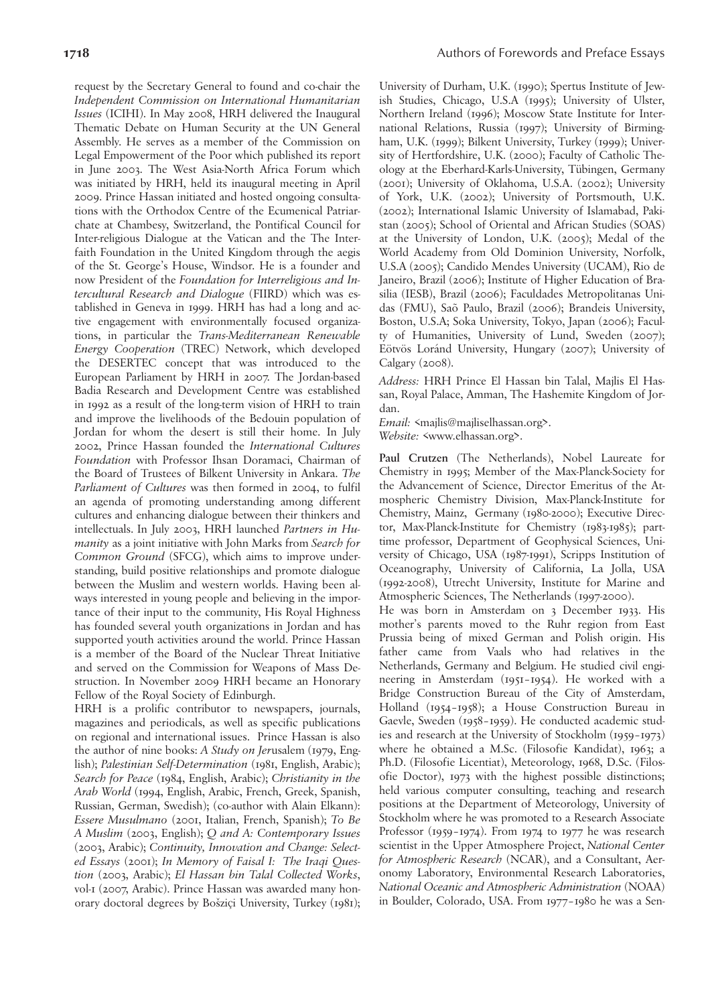request by the Secretary General to found and co-chair the *Independent Commission on International Humanitarian Issues* (ICIHI). In May 2008, HRH delivered the Inaugural Thematic Debate on Human Security at the UN General Assembly. He serves as a member of the Commission on Legal Empowerment of the Poor which published its report in June 2003. The West Asia-North Africa Forum which was initiated by HRH, held its inaugural meeting in April 2009. Prince Hassan initiated and hosted ongoing consultations with the Orthodox Centre of the Ecumenical Patriarchate at Chambesy, Switzerland, the Pontifical Council for Inter-religious Dialogue at the Vatican and the The Interfaith Foundation in the United Kingdom through the aegis of the St. George's House, Windsor. He is a founder and now President of the *Foundation for Interreligious and Intercultural Research and Dialogue* (FIIRD) which was established in Geneva in 1999. HRH has had a long and active engagement with environmentally focused organizations, in particular the *Trans-Mediterranean Renewable Energy Cooperation* (TREC) Network, which developed the DESERTEC concept that was introduced to the European Parliament by HRH in 2007. The Jordan-based Badia Research and Development Centre was established in 1992 as a result of the long-term vision of HRH to train and improve the livelihoods of the Bedouin population of Jordan for whom the desert is still their home. In July 2002, Prince Hassan founded the *International Cultures Foundation* with Professor Ihsan Doramaci, Chairman of the Board of Trustees of Bilkent University in Ankara. *The Parliament of Cultures* was then formed in 2004, to fulfil an agenda of promoting understanding among different cultures and enhancing dialogue between their thinkers and intellectuals. In July 2003, HRH launched *Partners in Humanity* as a joint initiative with John Marks from *Search for Common Ground* (SFCG), which aims to improve understanding, build positive relationships and promote dialogue between the Muslim and western worlds. Having been always interested in young people and believing in the importance of their input to the community, His Royal Highness has founded several youth organizations in Jordan and has supported youth activities around the world. Prince Hassan is a member of the Board of the Nuclear Threat Initiative and served on the Commission for Weapons of Mass Destruction. In November 2009 HRH became an Honorary Fellow of the Royal Society of Edinburgh.

HRH is a prolific contributor to newspapers, journals, magazines and periodicals, as well as specific publications on regional and international issues. Prince Hassan is also the author of nine books: *A Study on Jer*usalem (1979, English); *Palestinian Self-Determination* (1981, English, Arabic); *Search for Peace* (1984, English, Arabic); *Christianity in the Arab World* (1994, English, Arabic, French, Greek, Spanish, Russian, German, Swedish); (co-author with Alain Elkann): *Essere Musulmano* (2001, Italian, French, Spanish); *To Be A Muslim* (2003, English); *Q and A: Contemporary Issues* (2003, Arabic); *Continuity, Innovation and Change: Selected Essays* (2001); *In Memory of Faisal I: The Iraqi Question* (2003, Arabic); *El Hassan bin Talal Collected Works*, vol-1 (2007, Arabic). Prince Hassan was awarded many honorary doctoral degrees by Bošziçi University, Turkey (1981);

University of Durham, U.K. (1990); Spertus Institute of Jewish Studies, Chicago, U.S.A (1995); University of Ulster, Northern Ireland (1996); Moscow State Institute for International Relations, Russia (1997); University of Birmingham, U.K. (1999); Bilkent University, Turkey (1999); University of Hertfordshire, U.K. (2000); Faculty of Catholic Theology at the Eberhard-Karls-University, Tübingen, Germany (2001); University of Oklahoma, U.S.A. (2002); University of York, U.K. (2002); University of Portsmouth, U.K. (2002); International Islamic University of Islamabad, Pakistan (2005); School of Oriental and African Studies (SOAS) at the University of London, U.K. (2005); Medal of the World Academy from Old Dominion University, Norfolk, U.S.A (2005); Candido Mendes University (UCAM), Rio de Janeiro, Brazil (2006); Institute of Higher Education of Brasilia (IESB), Brazil (2006); Faculdades Metropolitanas Unidas (FMU), Saõ Paulo, Brazil (2006); Brandeis University, Boston, U.S.A; Soka University, Tokyo, Japan (2006); Faculty of Humanities, University of Lund, Sweden (2007); Eötvös Loránd University, Hungary (2007); University of Calgary (2008).

*Address:* HRH Prince El Hassan bin Talal, Majlis El Hassan, Royal Palace, Amman, The Hashemite Kingdom of Jordan.

*Email:* <majlis@majliselhassan.org>.

*Website:* <www.elhassan.org>.

**Paul Crutzen** (The Netherlands), Nobel Laureate for Chemistry in 1995; Member of the Max-Planck-Society for the Advancement of Science, Director Emeritus of the Atmospheric Chemistry Division, Max-Planck-Institute for Chemistry, Mainz, Germany (1980-2000); Executive Director, Max-Planck-Institute for Chemistry (1983-1985); parttime professor, Department of Geophysical Sciences, University of Chicago, USA (1987-1991), Scripps Institution of Oceanography, University of California, La Jolla, USA (1992-2008), Utrecht University, Institute for Marine and Atmospheric Sciences, The Netherlands (1997-2000).

He was born in Amsterdam on 3 December 1933. His mother's parents moved to the Ruhr region from East Prussia being of mixed German and Polish origin. His father came from Vaals who had relatives in the Netherlands, Germany and Belgium. He studied civil engineering in Amsterdam (1951–1954). He worked with a Bridge Construction Bureau of the City of Amsterdam, Holland (1954–1958); a House Construction Bureau in Gaevle, Sweden (1958–1959). He conducted academic studies and research at the University of Stockholm (1959–1973) where he obtained a M.Sc. (Filosofie Kandidat), 1963; a Ph.D. (Filosofie Licentiat), Meteorology, 1968, D.Sc. (Filosofie Doctor), 1973 with the highest possible distinctions; held various computer consulting, teaching and research positions at the Department of Meteorology, University of Stockholm where he was promoted to a Research Associate Professor (1959–1974). From 1974 to 1977 he was research scientist in the Upper Atmosphere Project, *National Center for Atmospheric Research* (NCAR), and a Consultant, Aeronomy Laboratory, Environmental Research Laboratories, *National Oceanic and Atmospheric Administration* (NOAA) in Boulder, Colorado, USA. From 1977–1980 he was a Sen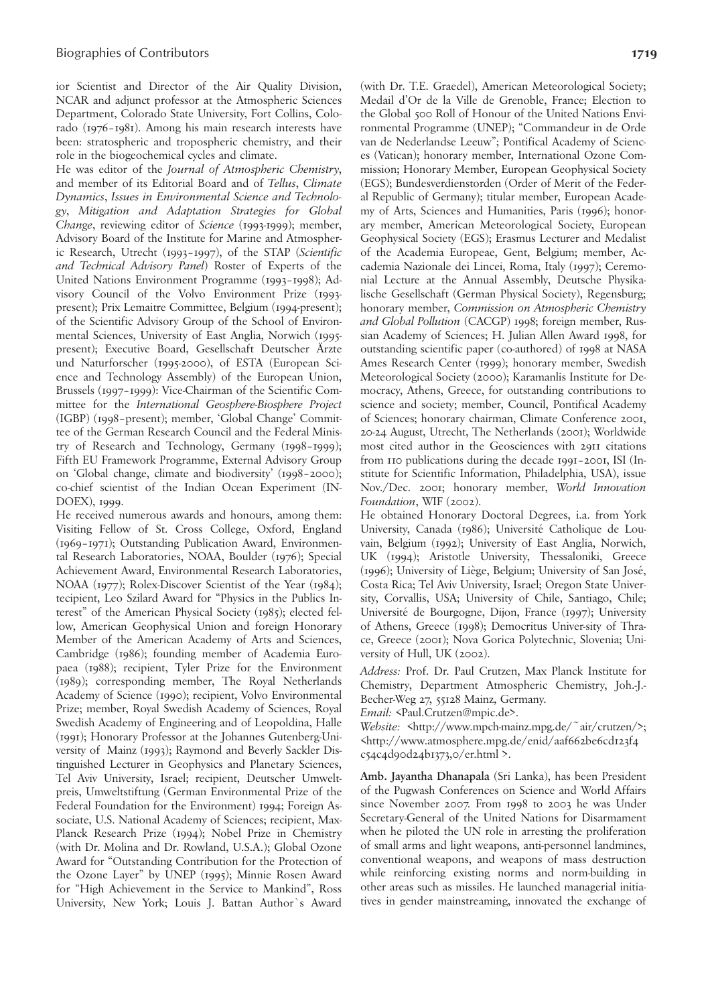ior Scientist and Director of the Air Quality Division, NCAR and adjunct professor at the Atmospheric Sciences Department, Colorado State University, Fort Collins, Colorado (1976–1981). Among his main research interests have been: stratospheric and tropospheric chemistry, and their role in the biogeochemical cycles and climate.

He was editor of the *Journal of Atmospheric Chemistry*, and member of its Editorial Board and of *Tellus*, *Climate Dynamics*, *Issues in Environmental Science and Technology*, *Mitigation and Adaptation Strategies for Global Change*, reviewing editor of *Science* (1993-1999); member, Advisory Board of the Institute for Marine and Atmospheric Research, Utrecht (1993–1997), of the STAP (*Scientific and Technical Advisory Panel*) Roster of Experts of the United Nations Environment Programme (1993–1998); Advisory Council of the Volvo Environment Prize (1993 present); Prix Lemaitre Committee, Belgium (1994-present); of the Scientific Advisory Group of the School of Environmental Sciences, University of East Anglia, Norwich (1995 present); Executive Board, Gesellschaft Deutscher Ärzte und Naturforscher (1995-2000), of ESTA (European Science and Technology Assembly) of the European Union, Brussels (1997–1999): Vice-Chairman of the Scientific Committee for the *International Geosphere-Biosphere Project* (IGBP) (1998–present); member, 'Global Change' Committee of the German Research Council and the Federal Ministry of Research and Technology, Germany (1998–1999); Fifth EU Framework Programme, External Advisory Group on 'Global change, climate and biodiversity' (1998–2000); co-chief scientist of the Indian Ocean Experiment (IN-DOEX), 1999.

He received numerous awards and honours, among them: Visiting Fellow of St. Cross College, Oxford, England (1969–1971); Outstanding Publication Award, Environmental Research Laboratories, NOAA, Boulder (1976); Special Achievement Award, Environmental Research Laboratories, NOAA (1977); Rolex-Discover Scientist of the Year (1984); tecipient, Leo Szilard Award for "Physics in the Publics Interest" of the American Physical Society (1985); elected fellow, American Geophysical Union and foreign Honorary Member of the American Academy of Arts and Sciences, Cambridge (1986); founding member of Academia Europaea (1988); recipient, Tyler Prize for the Environment (1989); corresponding member, The Royal Netherlands Academy of Science (1990); recipient, Volvo Environmental Prize; member, Royal Swedish Academy of Sciences, Royal Swedish Academy of Engineering and of Leopoldina, Halle (1991); Honorary Professor at the Johannes Gutenberg-University of Mainz (1993); Raymond and Beverly Sackler Distinguished Lecturer in Geophysics and Planetary Sciences, Tel Aviv University, Israel; recipient, Deutscher Umweltpreis, Umweltstiftung (German Environmental Prize of the Federal Foundation for the Environment) 1994; Foreign Associate, U.S. National Academy of Sciences; recipient, Max-Planck Research Prize (1994); Nobel Prize in Chemistry (with Dr. Molina and Dr. Rowland, U.S.A.); Global Ozone Award for "Outstanding Contribution for the Protection of the Ozone Layer" by UNEP (1995); Minnie Rosen Award for "High Achievement in the Service to Mankind", Ross University, New York; Louis J. Battan Author`s Award (with Dr. T.E. Graedel), American Meteorological Society; Medail d'Or de la Ville de Grenoble, France; Election to the Global 500 Roll of Honour of the United Nations Environmental Programme (UNEP); "Commandeur in de Orde van de Nederlandse Leeuw"; Pontifical Academy of Sciences (Vatican); honorary member, International Ozone Commission; Honorary Member, European Geophysical Society (EGS); Bundesverdienstorden (Order of Merit of the Federal Republic of Germany); titular member, European Academy of Arts, Sciences and Humanities, Paris (1996); honorary member, American Meteorological Society, European Geophysical Society (EGS); Erasmus Lecturer and Medalist of the Academia Europeae, Gent, Belgium; member, Accademia Nazionale dei Lincei, Roma, Italy (1997); Ceremonial Lecture at the Annual Assembly, Deutsche Physikalische Gesellschaft (German Physical Society), Regensburg; honorary member, *Commission on Atmospheric Chemistry and Global Pollution* (CACGP) 1998; foreign member, Russian Academy of Sciences; H. Julian Allen Award 1998, for outstanding scientific paper (co-authored) of 1998 at NASA Ames Research Center (1999); honorary member, Swedish Meteorological Society (2000); Karamanlis Institute for Democracy, Athens, Greece, for outstanding contributions to science and society; member, Council, Pontifical Academy of Sciences; honorary chairman, Climate Conference 2001, 20-24 August, Utrecht, The Netherlands (2001); Worldwide most cited author in the Geosciences with 2911 citations from 110 publications during the decade 1991–2001, ISI (Institute for Scientific Information, Philadelphia, USA), issue Nov./Dec. 2001; honorary member, *World Innovation Foundation*, WIF (2002).

He obtained Honorary Doctoral Degrees, i.a. from York University, Canada (1986); Université Catholique de Louvain, Belgium (1992); University of East Anglia, Norwich, UK (1994); Aristotle University, Thessaloniki, Greece (1996); University of Liège, Belgium; University of San José, Costa Rica; Tel Aviv University, Israel; Oregon State University, Corvallis, USA; University of Chile, Santiago, Chile; Université de Bourgogne, Dijon, France (1997); University of Athens, Greece (1998); Democritus Univer-sity of Thrace, Greece (2001); Nova Gorica Polytechnic, Slovenia; University of Hull, UK (2002).

*Address:* Prof. Dr. Paul Crutzen, Max Planck Institute for Chemistry, Department Atmospheric Chemistry, Joh.-J.- Becher-Weg 27, 55128 Mainz, Germany.

*Email:* <Paul.Crutzen@mpic.de>.

*Website:* <http://www.mpch-mainz.mpg.de/~air/crutzen/>; <http://www.atmosphere.mpg.de/enid/aaf662be6cd123f4 c54c4d90d24b1373,0/er.html >.

**Amb. Jayantha Dhanapala** (Sri Lanka), has been President of the Pugwash Conferences on Science and World Affairs since November 2007. From 1998 to 2003 he was Under Secretary-General of the United Nations for Disarmament when he piloted the UN role in arresting the proliferation of small arms and light weapons, anti-personnel landmines, conventional weapons, and weapons of mass destruction while reinforcing existing norms and norm-building in other areas such as missiles. He launched managerial initiatives in gender mainstreaming, innovated the exchange of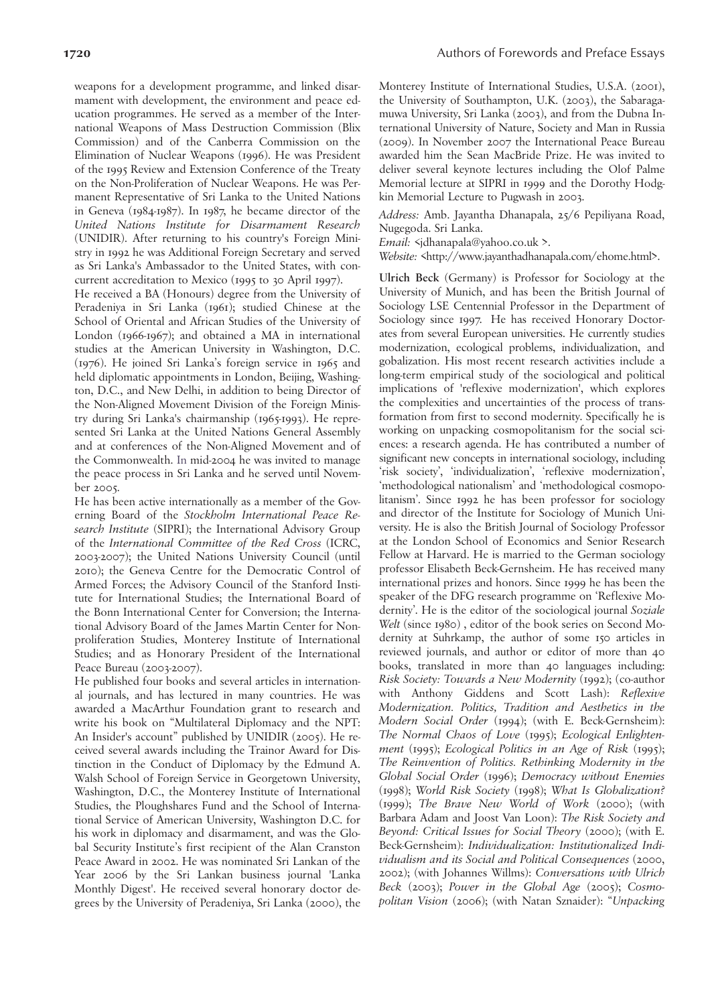weapons for a development programme, and linked disarmament with development, the environment and peace education programmes. He served as a member of the International Weapons of Mass Destruction Commission (Blix Commission) and of the Canberra Commission on the Elimination of Nuclear Weapons (1996). He was President of the 1995 Review and Extension Conference of the Treaty on the Non-Proliferation of Nuclear Weapons. He was Permanent Representative of Sri Lanka to the United Nations in Geneva (1984-1987). In 1987, he became director of the *United Nations Institute for Disarmament Research* (UNIDIR). After returning to his country's Foreign Ministry in 1992 he was Additional Foreign Secretary and served as Sri Lanka's Ambassador to the United States, with concurrent accreditation to Mexico (1995 to 30 April 1997).

He received a BA (Honours) degree from the University of Peradeniya in Sri Lanka (1961); studied Chinese at the School of Oriental and African Studies of the University of London (1966-1967); and obtained a MA in international studies at the American University in Washington, D.C. (1976). He joined Sri Lanka's foreign service in 1965 and held diplomatic appointments in London, Beijing, Washington, D.C., and New Delhi, in addition to being Director of the Non-Aligned Movement Division of the Foreign Ministry during Sri Lanka's chairmanship (1965-1993). He represented Sri Lanka at the United Nations General Assembly and at conferences of the Non-Aligned Movement and of the Commonwealth. In mid-2004 he was invited to manage the peace process in Sri Lanka and he served until November 2005.

He has been active internationally as a member of the Governing Board of the *Stockholm International Peace Research Institute* (SIPRI); the International Advisory Group of the *International Committee of the Red Cross* (ICRC, 2003-2007); the United Nations University Council (until 2010); the Geneva Centre for the Democratic Control of Armed Forces; the Advisory Council of the Stanford Institute for International Studies; the International Board of the Bonn International Center for Conversion; the International Advisory Board of the James Martin Center for Nonproliferation Studies, Monterey Institute of International Studies; and as Honorary President of the International Peace Bureau (2003-2007).

He published four books and several articles in international journals, and has lectured in many countries. He was awarded a MacArthur Foundation grant to research and write his book on "Multilateral Diplomacy and the NPT: An Insider's account" published by UNIDIR (2005). He received several awards including the Trainor Award for Distinction in the Conduct of Diplomacy by the Edmund A. Walsh School of Foreign Service in Georgetown University, Washington, D.C., the Monterey Institute of International Studies, the Ploughshares Fund and the School of International Service of American University, Washington D.C. for his work in diplomacy and disarmament, and was the Global Security Institute's first recipient of the Alan Cranston Peace Award in 2002. He was nominated Sri Lankan of the Year 2006 by the Sri Lankan business journal 'Lanka Monthly Digest'. He received several honorary doctor degrees by the University of Peradeniya, Sri Lanka (2000), the Monterey Institute of International Studies, U.S.A. (2001), the University of Southampton, U.K. (2003), the Sabaragamuwa University, Sri Lanka (2003), and from the Dubna International University of Nature, Society and Man in Russia (2009). In November 2007 the International Peace Bureau awarded him the Sean MacBride Prize. He was invited to deliver several keynote lectures including the Olof Palme Memorial lecture at SIPRI in 1999 and the Dorothy Hodgkin Memorial Lecture to Pugwash in 2003.

*Address:* Amb. Jayantha Dhanapala, 25/6 Pepiliyana Road, Nugegoda. Sri Lanka.

*Email:*  $\varsigma$ jdhanapala@yahoo.co.uk >.

*Website:* <http://www.jayanthadhanapala.com/ehome.html>.

**Ulrich Beck** (Germany) is Professor for Sociology at the University of Munich, and has been the British Journal of Sociology LSE Centennial Professor in the Department of Sociology since 1997. He has received Honorary Doctorates from several European universities. He currently studies modernization, ecological problems, individualization, and gobalization. His most recent research activities include a long-term empirical study of the sociological and political implications of 'reflexive modernization', which explores the complexities and uncertainties of the process of transformation from first to second modernity. Specifically he is working on unpacking cosmopolitanism for the social sciences: a research agenda. He has contributed a number of significant new concepts in international sociology, including 'risk society', 'individualization', 'reflexive modernization', 'methodological nationalism' and 'methodological cosmopolitanism'. Since 1992 he has been professor for sociology and director of the Institute for Sociology of Munich University. He is also the British Journal of Sociology Professor at the London School of Economics and Senior Research Fellow at Harvard. He is married to the German sociology professor Elisabeth Beck-Gernsheim. He has received many international prizes and honors. Since 1999 he has been the speaker of the DFG research programme on 'Reflexive Modernity'. He is the editor of the sociological journal *Soziale Welt* (since 1980) , editor of the book series on Second Modernity at Suhrkamp, the author of some 150 articles in reviewed journals, and author or editor of more than 40 books, translated in more than 40 languages including: *Risk Society: Towards a New Modernity* (1992); (co-author with Anthony Giddens and Scott Lash): *Reflexive Modernization. Politics, Tradition and Aesthetics in the Modern Social Order* (1994); (with E. Beck-Gernsheim): *The Normal Chaos of Love* (1995); *Ecological Enlightenment* (1995); *Ecological Politics in an Age of Risk* (1995); *The Reinvention of Politics. Rethinking Modernity in the Global Social Order* (1996); *Democracy without Enemies* (1998); *World Risk Society* (1998); *What Is Globalization?* (1999); *The Brave New World of Work* (2000); (with Barbara Adam and Joost Van Loon): *The Risk Society and Beyond: Critical Issues for Social Theory* (2000); (with E. Beck-Gernsheim): *Individualization: Institutionalized Individualism and its Social and Political Consequences* (2000, 2002); (with Johannes Willms): *Conversations with Ulrich Beck* (2003); *Power in the Global Age* (2005); *Cosmopolitan Vision* (2006); (with Natan Sznaider): "*Unpacking*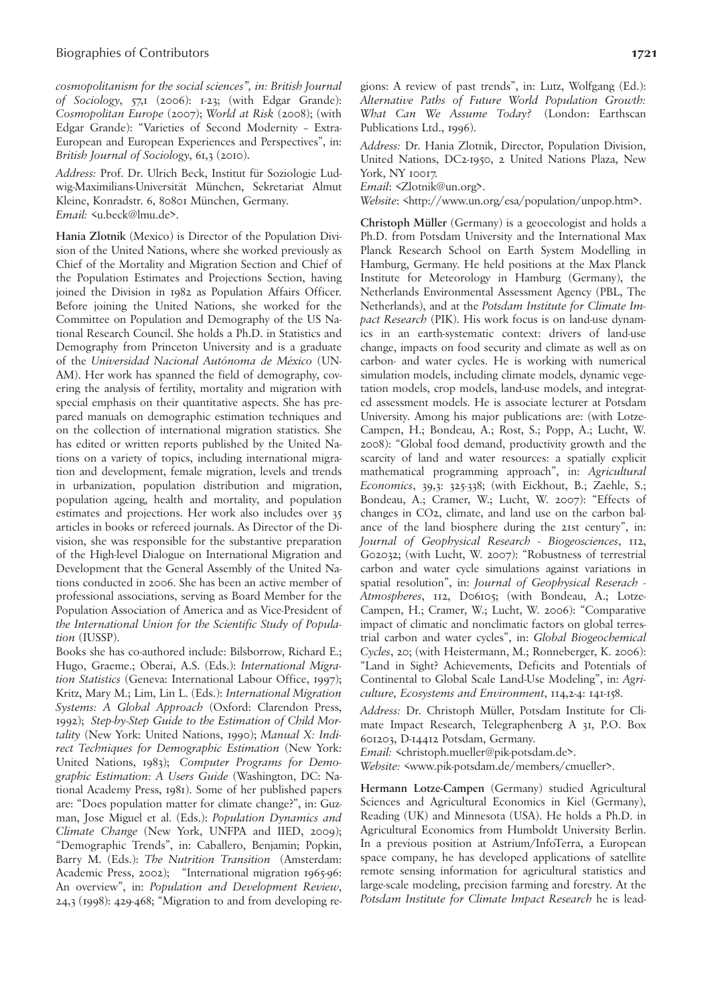*cosmopolitanism for the social sciences", in: British Journal of Sociology*, 57,1 (2006): 1-23; (with Edgar Grande): *Cosmopolitan Europe* (2007); *World at Risk* (2008); (with Edgar Grande): "Varieties of Second Modernity – Extra-European and European Experiences and Perspectives", in: *British Journal of Sociology*, 61,3 (2010).

*Address:* Prof. Dr. Ulrich Beck, Institut für Soziologie Ludwig-Maximilians-Universität München, Sekretariat Almut Kleine, Konradstr. 6, 80801 München, Germany. *Email:* <u.beck@lmu.de>.

**Hania Zlotnik** (Mexico) is Director of the Population Division of the United Nations, where she worked previously as Chief of the Mortality and Migration Section and Chief of the Population Estimates and Projections Section, having joined the Division in 1982 as Population Affairs Officer. Before joining the United Nations, she worked for the Committee on Population and Demography of the US National Research Council. She holds a Ph.D. in Statistics and Demography from Princeton University and is a graduate of the *Universidad Nacional Autónoma de México* (UN-AM). Her work has spanned the field of demography, covering the analysis of fertility, mortality and migration with special emphasis on their quantitative aspects. She has prepared manuals on demographic estimation techniques and on the collection of international migration statistics. She has edited or written reports published by the United Nations on a variety of topics, including international migration and development, female migration, levels and trends in urbanization, population distribution and migration, population ageing, health and mortality, and population estimates and projections. Her work also includes over 35 articles in books or refereed journals. As Director of the Division, she was responsible for the substantive preparation of the High-level Dialogue on International Migration and Development that the General Assembly of the United Nations conducted in 2006. She has been an active member of professional associations, serving as Board Member for the Population Association of America and as Vice-President of *the International Union for the Scientific Study of Population* (IUSSP).

Books she has co-authored include: Bilsborrow, Richard E.; Hugo, Graeme.; Oberai, A.S. (Eds.): *International Migration Statistics* (Geneva: International Labour Office, 1997); Kritz, Mary M.; Lim, Lin L. (Eds.): *International Migration Systems: A Global Approach* (Oxford: Clarendon Press, 1992); *Step-by-Step Guide to the Estimation of Child Mortality* (New York: United Nations, 1990); *Manual X: Indirect Techniques for Demographic Estimation* (New York: United Nations, 1983); *Computer Programs for Demographic Estimation: A Users Guide* (Washington, DC: National Academy Press, 1981). Some of her published papers are: "Does population matter for climate change?", in: Guzman, Jose Miguel et al. (Eds.): *Population Dynamics and Climate Change* (New York, UNFPA and IIED, 2009); "Demographic Trends", in: Caballero, Benjamin; Popkin, Barry M. (Eds.): *The Nutrition Transition* (Amsterdam: Academic Press, 2002); "International migration 1965-96: An overview", in: *Population and Development Review*, 24,3 (1998): 429-468; "Migration to and from developing regions: A review of past trends", in: Lutz, Wolfgang (Ed.): *Alternative Paths of Future World Population Growth: What Can We Assume Today?* (London: Earthscan Publications Ltd., 1996).

*Address:* Dr. Hania Zlotnik, Director, Population Division, United Nations, DC2-1950, 2 United Nations Plaza, New York, NY 10017.

*Email*: <Zlotnik@un.org>.

*Website*: <http://www.un.org/esa/population/unpop.htm>.

**Christoph Müller** (Germany) is a geoecologist and holds a Ph.D. from Potsdam University and the International Max Planck Research School on Earth System Modelling in Hamburg, Germany. He held positions at the Max Planck Institute for Meteorology in Hamburg (Germany), the Netherlands Environmental Assessment Agency (PBL, The Netherlands), and at the *Potsdam Institute for Climate Impact Research* (PIK). His work focus is on land-use dynamics in an earth-systematic context: drivers of land-use change, impacts on food security and climate as well as on carbon- and water cycles. He is working with numerical simulation models, including climate models, dynamic vegetation models, crop models, land-use models, and integrated assessment models. He is associate lecturer at Potsdam University. Among his major publications are: (with Lotze-Campen, H.; Bondeau, A.; Rost, S.; Popp, A.; Lucht, W. 2008): "Global food demand, productivity growth and the scarcity of land and water resources: a spatially explicit mathematical programming approach", in: *Agricultural Economics*, 39,3: 325-338; (with Eickhout, B.; Zaehle, S.; Bondeau, A.; Cramer, W.; Lucht, W. 2007): "Effects of changes in CO2, climate, and land use on the carbon balance of the land biosphere during the 21st century", in: *Journal of Geophysical Research - Biogeosciences*, 112, G02032; (with Lucht, W. 2007): "Robustness of terrestrial carbon and water cycle simulations against variations in spatial resolution", in: *Journal of Geophysical Reserach - Atmospheres*, 112, D06105; (with Bondeau, A.; Lotze-Campen, H.; Cramer, W.; Lucht, W. 2006): "Comparative impact of climatic and nonclimatic factors on global terrestrial carbon and water cycles", in: *Global Biogeochemical Cycles*, 20; (with Heistermann, M.; Ronneberger, K. 2006): "Land in Sight? Achievements, Deficits and Potentials of Continental to Global Scale Land-Use Modeling", in: *Agriculture, Ecosystems and Environment*, 114,2-4: 141-158.

*Address:* Dr. Christoph Müller, Potsdam Institute for Climate Impact Research, Telegraphenberg A 31, P.O. Box 601203, D-14412 Potsdam, Germany.

*Email:* <christoph.mueller@pik-potsdam.de>.

*Website:* <www.pik-potsdam.de/members/cmueller>.

**Hermann Lotze-Campen** (Germany) studied Agricultural Sciences and Agricultural Economics in Kiel (Germany), Reading (UK) and Minnesota (USA). He holds a Ph.D. in Agricultural Economics from Humboldt University Berlin. In a previous position at Astrium/InfoTerra, a European space company, he has developed applications of satellite remote sensing information for agricultural statistics and large-scale modeling, precision farming and forestry. At the *Potsdam Institute for Climate Impact Research* he is lead-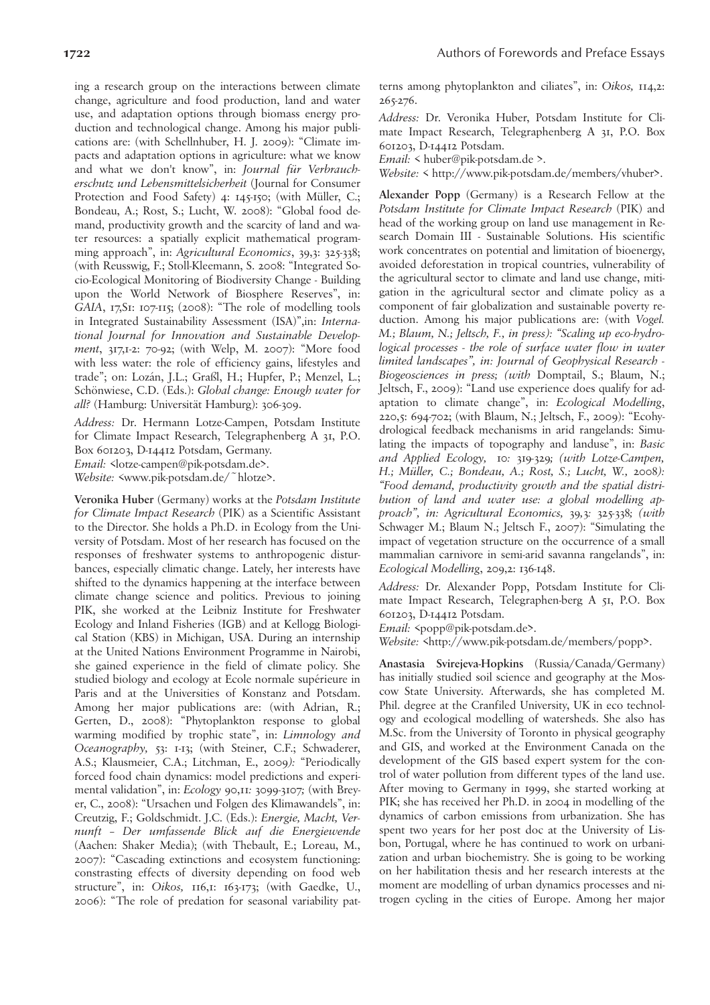ing a research group on the interactions between climate change, agriculture and food production, land and water use, and adaptation options through biomass energy production and technological change. Among his major publications are: (with Schellnhuber, H. J. 2009): "Climate impacts and adaptation options in agriculture: what we know and what we don't know", in: *Journal für Verbraucherschutz und Lebensmittelsicherheit* (Journal for Consumer Protection and Food Safety) 4: 145-150; (with Müller, C.; Bondeau, A.; Rost, S.; Lucht, W. 2008): "Global food demand, productivity growth and the scarcity of land and water resources: a spatially explicit mathematical programming approach", in: *Agricultural Economics*, 39,3: 325-338; (with Reusswig, F.; Stoll-Kleemann, S. 2008: "Integrated Socio-Ecological Monitoring of Biodiversity Change - Building upon the World Network of Biosphere Reserves", in: *GAIA*, 17,S1: 107-115; (2008): "The role of modelling tools in Integrated Sustainability Assessment (ISA)",in: *International Journal for Innovation and Sustainable Development*, 317,1-2: 70-92; (with Welp, M. 2007): "More food with less water: the role of efficiency gains, lifestyles and trade"; on: Lozán, J.L.; Graßl, H.; Hupfer, P.; Menzel, L.; Schönwiese, C.D. (Eds.): *Global change: Enough water for all?* (Hamburg: Universität Hamburg): 306-309.

*Address:* Dr. Hermann Lotze-Campen, Potsdam Institute for Climate Impact Research, Telegraphenberg A 31, P.O. Box 601203, D-14412 Potsdam, Germany. *Email:* <lotze-campen@pik-potsdam.de>. *Website:* <www.pik-potsdam.de/~hlotze>.

**Veronika Huber** (Germany) works at the *Potsdam Institute for Climate Impact Research* (PIK) as a Scientific Assistant to the Director. She holds a Ph.D. in Ecology from the University of Potsdam. Most of her research has focused on the responses of freshwater systems to anthropogenic disturbances, especially climatic change. Lately, her interests have shifted to the dynamics happening at the interface between climate change science and politics. Previous to joining PIK, she worked at the Leibniz Institute for Freshwater Ecology and Inland Fisheries (IGB) and at Kellogg Biological Station (KBS) in Michigan, USA. During an internship at the United Nations Environment Programme in Nairobi, she gained experience in the field of climate policy. She studied biology and ecology at Ecole normale supérieure in Paris and at the Universities of Konstanz and Potsdam. Among her major publications are: (with Adrian, R.; Gerten, D., 2008): "Phytoplankton response to global warming modified by trophic state", in: *Limnology and Oceanography,* 53: 1-13; (with Steiner, C.F.; Schwaderer, A.S.; Klausmeier, C.A.; Litchman, E., 2009*):* "Periodically forced food chain dynamics: model predictions and experimental validation", in: *Ecology* 90,11*:* 3099-3107*;* (with Breyer, C., 2008): "Ursachen und Folgen des Klimawandels", in: Creutzig, F.; Goldschmidt. J.C. (Eds.): *Energie, Macht, Vernunft – Der umfassende Blick auf die Energiewende* (Aachen: Shaker Media); (with Thebault, E.; Loreau, M., 2007): "Cascading extinctions and ecosystem functioning: constrasting effects of diversity depending on food web structure", in: *Oikos,* 116,1: 163-173; (with Gaedke, U., 2006): "The role of predation for seasonal variability patterns among phytoplankton and ciliates", in: *Oikos,* 114,2: 265-276.

*Address:* Dr. Veronika Huber, Potsdam Institute for Climate Impact Research, Telegraphenberg A 31, P.O. Box 601203, D-14412 Potsdam.

*Email:* < huber@pik-potsdam.de >.

*Website:* < http://www.pik-potsdam.de/members/vhuber>.

**Alexander Popp** (Germany) is a Research Fellow at the *Potsdam Institute for Climate Impact Research* (PIK) and head of the working group on land use management in Research Domain III - Sustainable Solutions. His scientific work concentrates on potential and limitation of bioenergy, avoided deforestation in tropical countries, vulnerability of the agricultural sector to climate and land use change, mitigation in the agricultural sector and climate policy as a component of fair globalization and sustainable poverty reduction. Among his major publications are: (with *Vogel. M.; Blaum, N.; Jeltsch, F., in press): "Scaling up eco-hydrological processes - the role of surface water flow in water limited landscapes", in: Journal of Geophysical Research - Biogeosciences in press; (with* Domptail, S.; Blaum, N.; Jeltsch, F., 2009): "Land use experience does qualify for adaptation to climate change", in: *Ecological Modelling*, 220,5: 694-702; (with Blaum, N.; Jeltsch, F., 2009): "Ecohydrological feedback mechanisms in arid rangelands: Simulating the impacts of topography and landuse", in: *Basic and Applied Ecology,* 10*:* 319*-*329*; (with Lotze-Campen, H.; Müller, C.; Bondeau, A.; Rost, S.; Lucht, W.,* 2008*): "Food demand, productivity growth and the spatial distribution of land and water use: a global modelling approach", in: Agricultural Economics,* 39*,*3*:* 325*-*338*; (with* Schwager M.; Blaum N.; Jeltsch F., 2007): "Simulating the impact of vegetation structure on the occurrence of a small mammalian carnivore in semi-arid savanna rangelands", in: *Ecological Modelling*, 209,2: 136-148.

*Address:* Dr. Alexander Popp, Potsdam Institute for Climate Impact Research, Telegraphen-berg A 51, P.O. Box 601203, D-14412 Potsdam.

*Email:* <popp@pik-potsdam.de>.

*Website:* <http://www.pik-potsdam.de/members/popp>.

**Anastasia Svirejeva-Hopkins** (Russia/Canada/Germany) has initially studied soil science and geography at the Moscow State University. Afterwards, she has completed M. Phil. degree at the Cranfiled University, UK in eco technology and ecological modelling of watersheds. She also has M.Sc. from the University of Toronto in physical geography and GIS, and worked at the Environment Canada on the development of the GIS based expert system for the control of water pollution from different types of the land use. After moving to Germany in 1999, she started working at PIK; she has received her Ph.D. in 2004 in modelling of the dynamics of carbon emissions from urbanization. She has spent two years for her post doc at the University of Lisbon, Portugal, where he has continued to work on urbanization and urban biochemistry. She is going to be working on her habilitation thesis and her research interests at the moment are modelling of urban dynamics processes and nitrogen cycling in the cities of Europe. Among her major